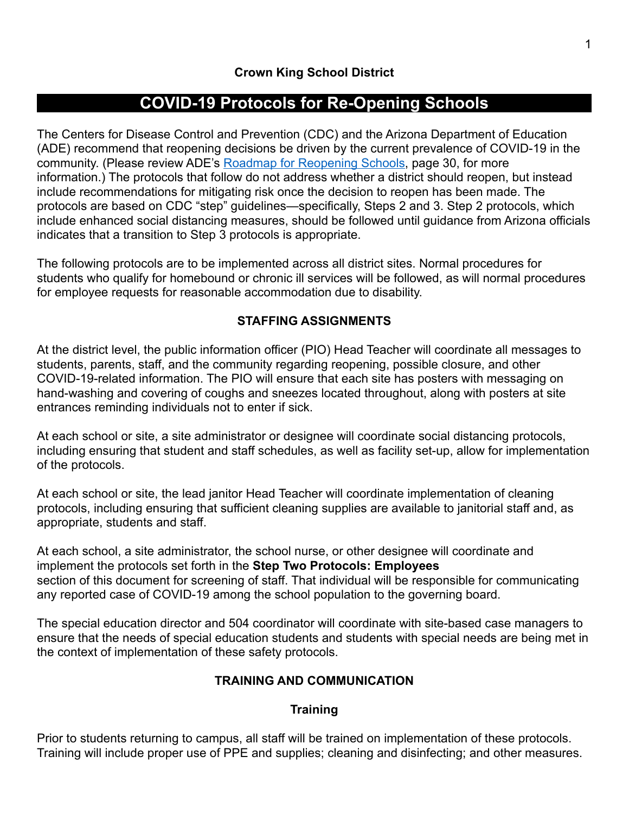# **COVID-19 Protocols for Re-Opening Schools**

The Centers for Disease Control and Prevention (CDC) and the Arizona Department of Education (ADE) recommend that reopening decisions be driven by the current prevalence of COVID-19 in the community. (Please review ADE's [Roadmap for Reopening Schools](https://www.azed.gov/communications/files/2020/03/FINAL-DRAFT-AZ-Roadmap-for-Reopening-Schools_6_1_20-1.pdf), page 30, for more information.) The protocols that follow do not address whether a district should reopen, but instead include recommendations for mitigating risk once the decision to reopen has been made. The protocols are based on CDC "step" guidelines—specifically, Steps 2 and 3. Step 2 protocols, which include enhanced social distancing measures, should be followed until guidance from Arizona officials indicates that a transition to Step 3 protocols is appropriate.

The following protocols are to be implemented across all district sites. Normal procedures for students who qualify for homebound or chronic ill services will be followed, as will normal procedures for employee requests for reasonable accommodation due to disability.

## **STAFFING ASSIGNMENTS**

At the district level, the public information officer (PIO) Head Teacher will coordinate all messages to students, parents, staff, and the community regarding reopening, possible closure, and other COVID-19-related information. The PIO will ensure that each site has posters with messaging on hand-washing and covering of coughs and sneezes located throughout, along with posters at site entrances reminding individuals not to enter if sick.

At each school or site, a site administrator or designee will coordinate social distancing protocols, including ensuring that student and staff schedules, as well as facility set-up, allow for implementation of the protocols.

At each school or site, the lead janitor Head Teacher will coordinate implementation of cleaning protocols, including ensuring that sufficient cleaning supplies are available to janitorial staff and, as appropriate, students and staff.

At each school, a site administrator, the school nurse, or other designee will coordinate and implement the protocols set forth in the **Step Two Protocols: Employees** section of this document for screening of staff. That individual will be responsible for communicating any reported case of COVID-19 among the school population to the governing board.

The special education director and 504 coordinator will coordinate with site-based case managers to ensure that the needs of special education students and students with special needs are being met in the context of implementation of these safety protocols.

## **TRAINING AND COMMUNICATION**

## **Training**

Prior to students returning to campus, all staff will be trained on implementation of these protocols. Training will include proper use of PPE and supplies; cleaning and disinfecting; and other measures.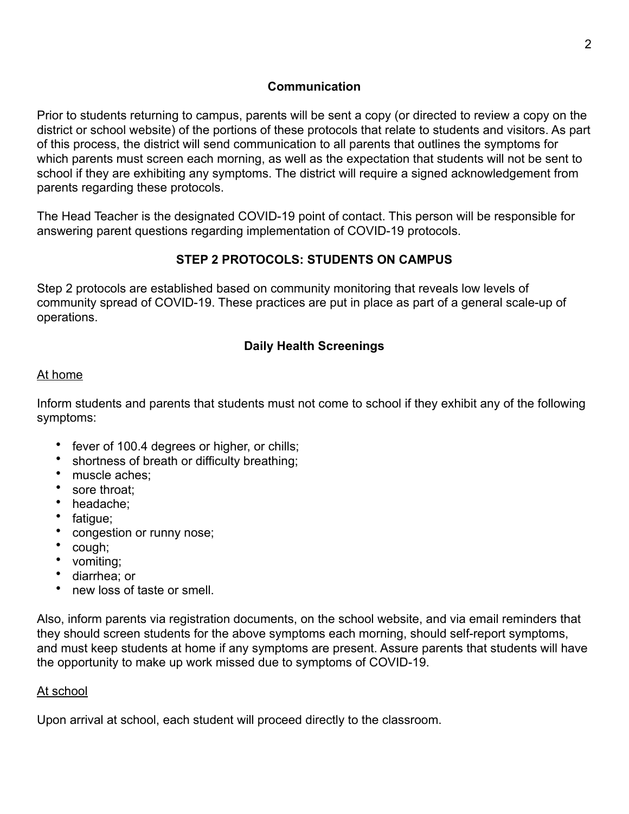## **Communication**

Prior to students returning to campus, parents will be sent a copy (or directed to review a copy on the district or school website) of the portions of these protocols that relate to students and visitors. As part of this process, the district will send communication to all parents that outlines the symptoms for which parents must screen each morning, as well as the expectation that students will not be sent to school if they are exhibiting any symptoms. The district will require a signed acknowledgement from parents regarding these protocols.

The Head Teacher is the designated COVID-19 point of contact. This person will be responsible for answering parent questions regarding implementation of COVID-19 protocols.

## **STEP 2 PROTOCOLS: STUDENTS ON CAMPUS**

Step 2 protocols are established based on community monitoring that reveals low levels of community spread of COVID-19. These practices are put in place as part of a general scale-up of operations.

## **Daily Health Screenings**

#### At home

Inform students and parents that students must not come to school if they exhibit any of the following symptoms:

- fever of 100.4 degrees or higher, or chills;
- shortness of breath or difficulty breathing;
- muscle aches:
- sore throat:
- headache;
- fatigue;
- congestion or runny nose;
- cough;
- vomiting;
- diarrhea; or
- new loss of taste or smell.

Also, inform parents via registration documents, on the school website, and via email reminders that they should screen students for the above symptoms each morning, should self-report symptoms, and must keep students at home if any symptoms are present. Assure parents that students will have the opportunity to make up work missed due to symptoms of COVID-19.

#### At school

Upon arrival at school, each student will proceed directly to the classroom.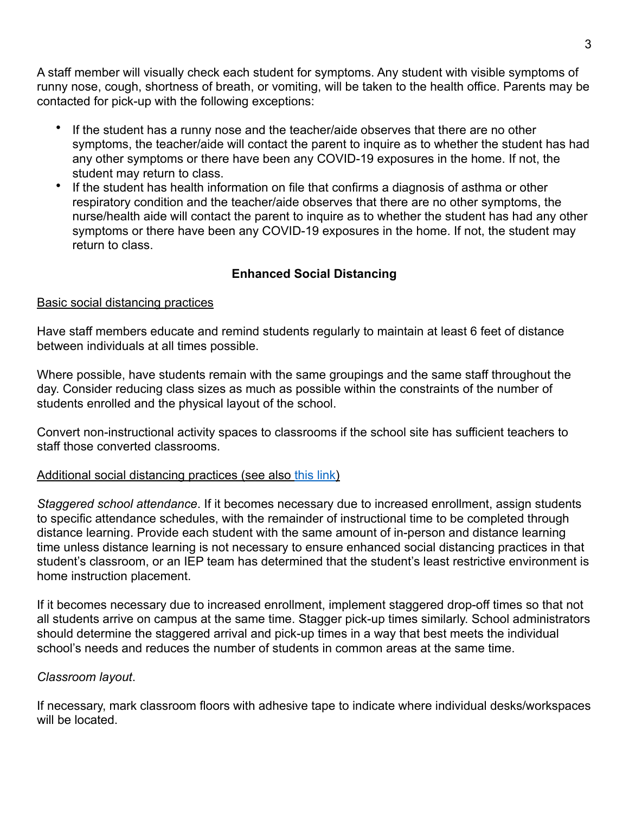A staff member will visually check each student for symptoms. Any student with visible symptoms of runny nose, cough, shortness of breath, or vomiting, will be taken to the health office. Parents may be contacted for pick-up with the following exceptions:

- If the student has a runny nose and the teacher/aide observes that there are no other symptoms, the teacher/aide will contact the parent to inquire as to whether the student has had any other symptoms or there have been any COVID-19 exposures in the home. If not, the student may return to class.
- If the student has health information on file that confirms a diagnosis of asthma or other respiratory condition and the teacher/aide observes that there are no other symptoms, the nurse/health aide will contact the parent to inquire as to whether the student has had any other symptoms or there have been any COVID-19 exposures in the home. If not, the student may return to class.

## **Enhanced Social Distancing**

#### Basic social distancing practices

Have staff members educate and remind students regularly to maintain at least 6 feet of distance between individuals at all times possible.

Where possible, have students remain with the same groupings and the same staff throughout the day. Consider reducing class sizes as much as possible within the constraints of the number of students enrolled and the physical layout of the school.

Convert non-instructional activity spaces to classrooms if the school site has sufficient teachers to staff those converted classrooms.

#### [Additional social distancing practices](https://content.acsa.org/coronavirus-in-ca-schools/acsa-school-reopening-report-may-2020) (see also [this link\)](https://content.acsa.org/coronavirus-in-ca-schools/acsa-school-reopening-report-may-2020)

*Staggered school attendance*. If it becomes necessary due to increased enrollment, assign students to specific attendance schedules, with the remainder of instructional time to be completed through distance learning. Provide each student with the same amount of in-person and distance learning time unless distance learning is not necessary to ensure enhanced social distancing practices in that student's classroom, or an IEP team has determined that the student's least restrictive environment is home instruction placement.

If it becomes necessary due to increased enrollment, implement staggered drop-off times so that not all students arrive on campus at the same time. Stagger pick-up times similarly. School administrators should determine the staggered arrival and pick-up times in a way that best meets the individual school's needs and reduces the number of students in common areas at the same time.

#### *Classroom layout*.

If necessary, mark classroom floors with adhesive tape to indicate where individual desks/workspaces will be located.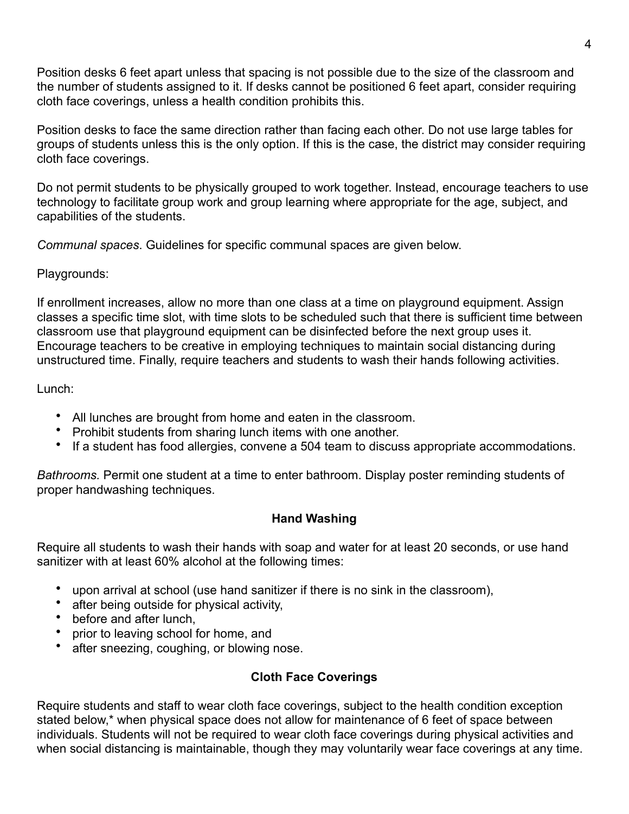Position desks 6 feet apart unless that spacing is not possible due to the size of the classroom and the number of students assigned to it. If desks cannot be positioned 6 feet apart, consider requiring cloth face coverings, unless a health condition prohibits this.

Position desks to face the same direction rather than facing each other. Do not use large tables for groups of students unless this is the only option. If this is the case, the district may consider requiring cloth face coverings.

Do not permit students to be physically grouped to work together. Instead, encourage teachers to use technology to facilitate group work and group learning where appropriate for the age, subject, and capabilities of the students.

*Communal spaces*. Guidelines for specific communal spaces are given below.

## Playgrounds:

If enrollment increases, allow no more than one class at a time on playground equipment. Assign classes a specific time slot, with time slots to be scheduled such that there is sufficient time between classroom use that playground equipment can be disinfected before the next group uses it. Encourage teachers to be creative in employing techniques to maintain social distancing during unstructured time. Finally, require teachers and students to wash their hands following activities.

## Lunch:

- All lunches are brought from home and eaten in the classroom.
- Prohibit students from sharing lunch items with one another.
- If a student has food allergies, convene a 504 team to discuss appropriate accommodations.

*Bathrooms.* Permit one student at a time to enter bathroom. Display poster reminding students of proper handwashing techniques.

## **Hand Washing**

Require all students to wash their hands with soap and water for at least 20 seconds, or use hand sanitizer with at least 60% alcohol at the following times:

- upon arrival at school (use hand sanitizer if there is no sink in the classroom),
- after being outside for physical activity,
- before and after lunch,
- prior to leaving school for home, and
- after sneezing, coughing, or blowing nose.

## **Cloth Face Coverings**

Require students and staff to wear cloth face coverings, subject to the health condition exception stated below,\* when physical space does not allow for maintenance of 6 feet of space between individuals. Students will not be required to wear cloth face coverings during physical activities and when social distancing is maintainable, though they may voluntarily wear face coverings at any time.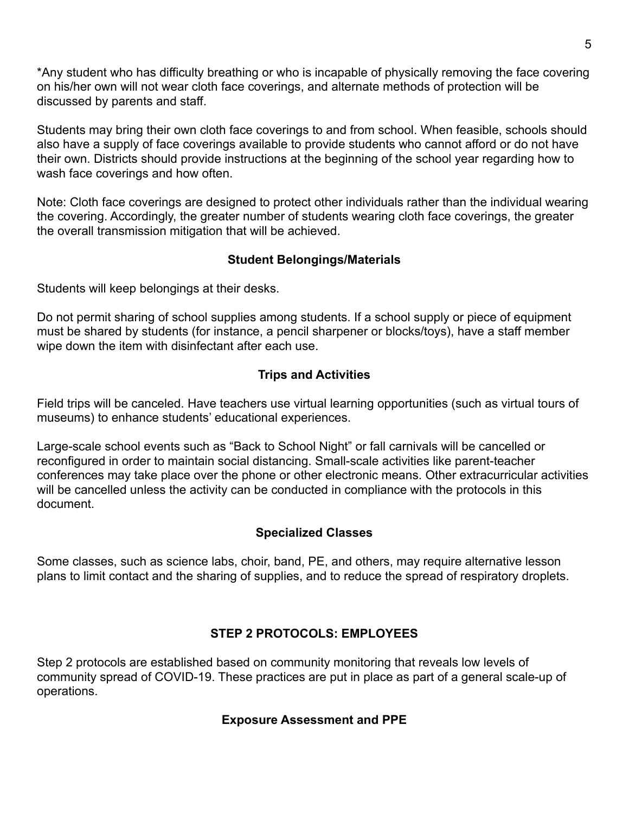\*Any student who has difficulty breathing or who is incapable of physically removing the face covering on his/her own will not wear cloth face coverings, and alternate methods of protection will be discussed by parents and staff.

Students may bring their own cloth face coverings to and from school. When feasible, schools should also have a supply of face coverings available to provide students who cannot afford or do not have their own. Districts should provide instructions at the beginning of the school year regarding how to wash face coverings and how often.

Note: Cloth face coverings are designed to protect other individuals rather than the individual wearing the covering. Accordingly, the greater number of students wearing cloth face coverings, the greater the overall transmission mitigation that will be achieved.

## **Student Belongings/Materials**

Students will keep belongings at their desks.

Do not permit sharing of school supplies among students. If a school supply or piece of equipment must be shared by students (for instance, a pencil sharpener or blocks/toys), have a staff member wipe down the item with disinfectant after each use.

## **Trips and Activities**

Field trips will be canceled. Have teachers use virtual learning opportunities (such as virtual tours of museums) to enhance students' educational experiences.

Large-scale school events such as "Back to School Night" or fall carnivals will be cancelled or reconfigured in order to maintain social distancing. Small-scale activities like parent-teacher conferences may take place over the phone or other electronic means. Other extracurricular activities will be cancelled unless the activity can be conducted in compliance with the protocols in this document.

## **Specialized Classes**

Some classes, such as science labs, choir, band, PE, and others, may require alternative lesson plans to limit contact and the sharing of supplies, and to reduce the spread of respiratory droplets.

## **STEP 2 PROTOCOLS: EMPLOYEES**

Step 2 protocols are established based on community monitoring that reveals low levels of community spread of COVID-19. These practices are put in place as part of a general scale-up of operations.

## **Exposure Assessment and PPE**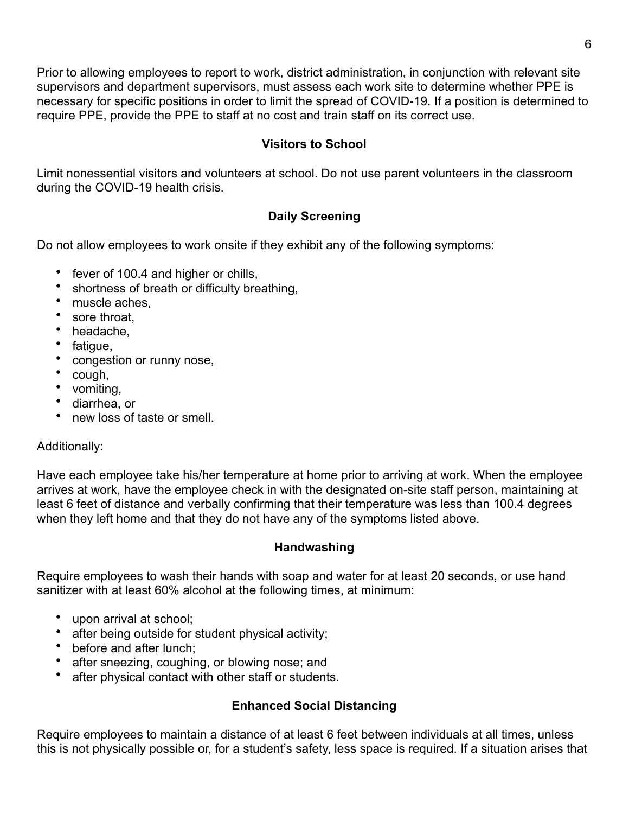Prior to allowing employees to report to work, district administration, in conjunction with relevant site supervisors and department supervisors, must assess each work site to determine whether PPE is necessary for specific positions in order to limit the spread of COVID-19. If a position is determined to require PPE, provide the PPE to staff at no cost and train staff on its correct use.

## **Visitors to School**

Limit nonessential visitors and volunteers at school. Do not use parent volunteers in the classroom during the COVID-19 health crisis.

## **Daily Screening**

Do not allow employees to work onsite if they exhibit any of the following symptoms:

- fever of 100.4 and higher or chills,
- shortness of breath or difficulty breathing,
- muscle aches,
- sore throat.
- headache,
- fatigue,
- congestion or runny nose,
- cough,
- vomiting,
- diarrhea, or
- new loss of taste or smell.

#### Additionally:

Have each employee take his/her temperature at home prior to arriving at work. When the employee arrives at work, have the employee check in with the designated on-site staff person, maintaining at least 6 feet of distance and verbally confirming that their temperature was less than 100.4 degrees when they left home and that they do not have any of the symptoms listed above.

#### **Handwashing**

Require employees to wash their hands with soap and water for at least 20 seconds, or use hand sanitizer with at least 60% alcohol at the following times, at minimum:

- upon arrival at school;
- after being outside for student physical activity;
- before and after lunch:
- after sneezing, coughing, or blowing nose; and
- after physical contact with other staff or students.

## **Enhanced Social Distancing**

Require employees to maintain a distance of at least 6 feet between individuals at all times, unless this is not physically possible or, for a student's safety, less space is required. If a situation arises that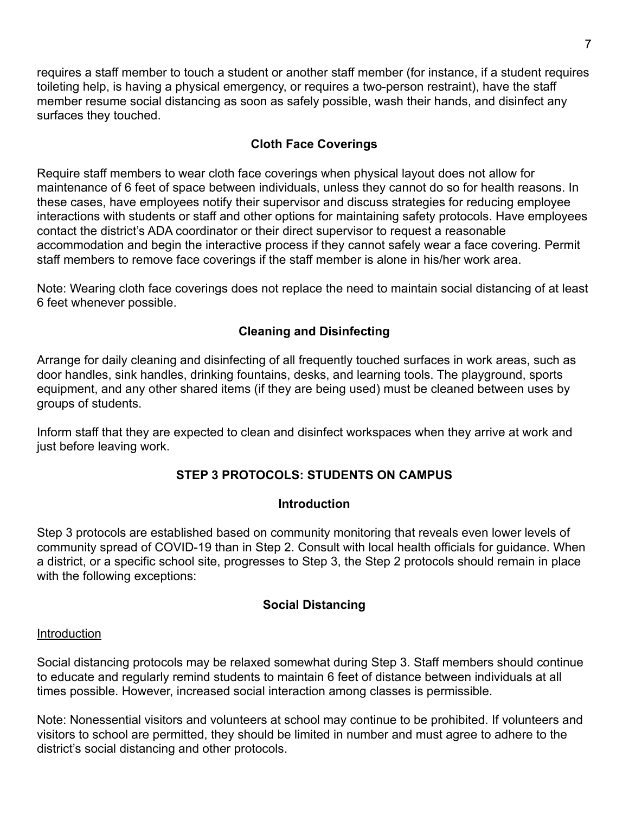requires a staff member to touch a student or another staff member (for instance, if a student requires toileting help, is having a physical emergency, or requires a two-person restraint), have the staff member resume social distancing as soon as safely possible, wash their hands, and disinfect any surfaces they touched.

## **Cloth Face Coverings**

Require staff members to wear cloth face coverings when physical layout does not allow for maintenance of 6 feet of space between individuals, unless they cannot do so for health reasons. In these cases, have employees notify their supervisor and discuss strategies for reducing employee interactions with students or staff and other options for maintaining safety protocols. Have employees contact the district's ADA coordinator or their direct supervisor to request a reasonable accommodation and begin the interactive process if they cannot safely wear a face covering. Permit staff members to remove face coverings if the staff member is alone in his/her work area.

Note: Wearing cloth face coverings does not replace the need to maintain social distancing of at least 6 feet whenever possible.

## **Cleaning and Disinfecting**

Arrange for daily cleaning and disinfecting of all frequently touched surfaces in work areas, such as door handles, sink handles, drinking fountains, desks, and learning tools. The playground, sports equipment, and any other shared items (if they are being used) must be cleaned between uses by groups of students.

Inform staff that they are expected to clean and disinfect workspaces when they arrive at work and just before leaving work.

## **STEP 3 PROTOCOLS: STUDENTS ON CAMPUS**

#### **Introduction**

Step 3 protocols are established based on community monitoring that reveals even lower levels of community spread of COVID-19 than in Step 2. Consult with local health officials for guidance. When a district, or a specific school site, progresses to Step 3, the Step 2 protocols should remain in place with the following exceptions:

#### **Social Distancing**

#### Introduction

Social distancing protocols may be relaxed somewhat during Step 3. Staff members should continue to educate and regularly remind students to maintain 6 feet of distance between individuals at all times possible. However, increased social interaction among classes is permissible.

Note: Nonessential visitors and volunteers at school may continue to be prohibited. If volunteers and visitors to school are permitted, they should be limited in number and must agree to adhere to the district's social distancing and other protocols.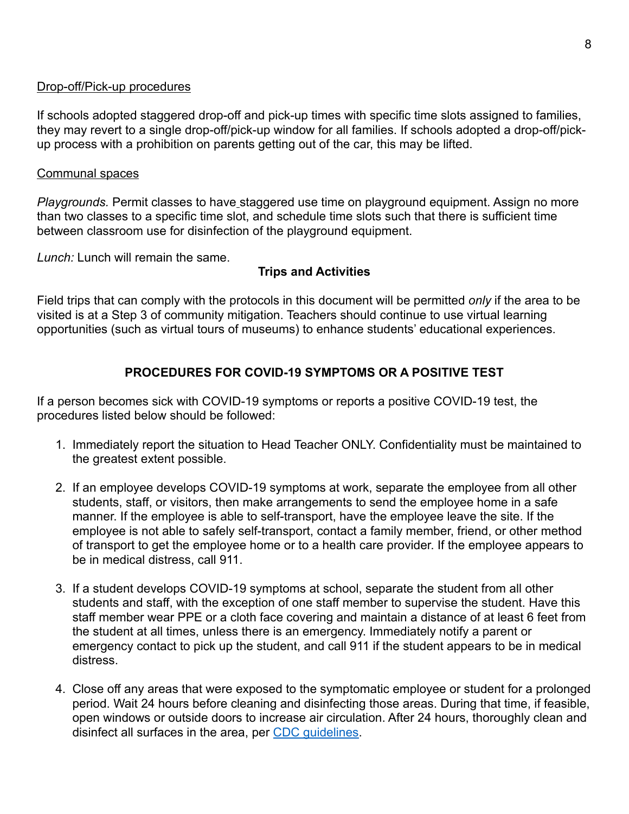#### Drop-off/Pick-up procedures

If schools adopted staggered drop-off and pick-up times with specific time slots assigned to families, they may revert to a single drop-off/pick-up window for all families. If schools adopted a drop-off/pickup process with a prohibition on parents getting out of the car, this may be lifted.

#### Communal spaces

*Playgrounds.* Permit classes to have staggered use time on playground equipment. Assign no more than two classes to a specific time slot, and schedule time slots such that there is sufficient time between classroom use for disinfection of the playground equipment.

*Lunch:* Lunch will remain the same.

#### **Trips and Activities**

Field trips that can comply with the protocols in this document will be permitted *only* if the area to be visited is at a Step 3 of community mitigation. Teachers should continue to use virtual learning opportunities (such as virtual tours of museums) to enhance students' educational experiences.

## **PROCEDURES FOR COVID-19 SYMPTOMS OR A POSITIVE TEST**

If a person becomes sick with COVID-19 symptoms or reports a positive COVID-19 test, the procedures listed below should be followed:

- 1. Immediately report the situation to Head Teacher ONLY. Confidentiality must be maintained to the greatest extent possible.
- 2. If an employee develops COVID-19 symptoms at work, separate the employee from all other students, staff, or visitors, then make arrangements to send the employee home in a safe manner. If the employee is able to self-transport, have the employee leave the site. If the employee is not able to safely self-transport, contact a family member, friend, or other method of transport to get the employee home or to a health care provider. If the employee appears to be in medical distress, call 911.
- 3. If a student develops COVID-19 symptoms at school, separate the student from all other students and staff, with the exception of one staff member to supervise the student. Have this staff member wear PPE or a cloth face covering and maintain a distance of at least 6 feet from the student at all times, unless there is an emergency. Immediately notify a parent or emergency contact to pick up the student, and call 911 if the student appears to be in medical distress.
- 4. Close off any areas that were exposed to the symptomatic employee or student for a prolonged period. Wait 24 hours before cleaning and disinfecting those areas. During that time, if feasible, open windows or outside doors to increase air circulation. After 24 hours, thoroughly clean and disinfect all surfaces in the area, per [CDC guidelines](https://www.cdc.gov/coronavirus/2019-ncov/community/organizations/cleaning-disinfection.html).